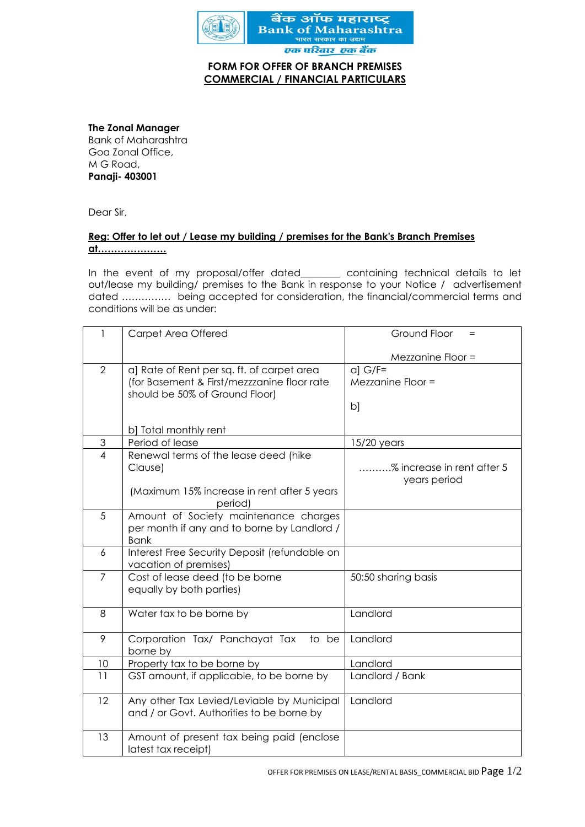

## **FORM FOR OFFER OF BRANCH PREMISES COMMERCIAL / FINANCIAL PARTICULARS**

**The Zonal Manager**

Bank of Maharashtra Goa Zonal Office, M G Road, **Panaji- 403001** 

Dear Sir,

## **Reg: Offer to let out / Lease my building / premises for the Bank's Branch Premises at…………………**

In the event of my proposal/offer dated\_\_\_\_\_\_\_\_ containing technical details to let out/lease my building/ premises to the Bank in response to your Notice / advertisement dated …………… being accepted for consideration, the financial/commercial terms and conditions will be as under:

| 1                         | Carpet Area Offered                                                                       | Ground Floor<br>$\qquad \qquad =$ |
|---------------------------|-------------------------------------------------------------------------------------------|-----------------------------------|
|                           |                                                                                           |                                   |
|                           |                                                                                           | Mezzanine Floor =                 |
| $\overline{2}$            | a) Rate of Rent per sq. ft. of carpet area<br>(for Basement & First/mezzzanine floor rate | $a]$ G/F=<br>Mezzanine Floor =    |
|                           | should be 50% of Ground Floor)                                                            |                                   |
|                           |                                                                                           | b]                                |
|                           |                                                                                           |                                   |
|                           | b] Total monthly rent                                                                     |                                   |
| $\ensuremath{\mathsf{3}}$ | Period of lease                                                                           | $15/20$ years                     |
| $\overline{\mathcal{A}}$  | Renewal terms of the lease deed (hike                                                     |                                   |
|                           | Clause)                                                                                   | % increase in rent after 5        |
|                           |                                                                                           | years period                      |
|                           | (Maximum 15% increase in rent after 5 years<br>period)                                    |                                   |
| 5                         | Amount of Society maintenance charges                                                     |                                   |
|                           | per month if any and to borne by Landlord /                                               |                                   |
|                           | <b>Bank</b>                                                                               |                                   |
| 6                         | Interest Free Security Deposit (refundable on                                             |                                   |
|                           | vacation of premises)                                                                     |                                   |
| $\overline{7}$            | Cost of lease deed (to be borne                                                           | 50:50 sharing basis               |
|                           | equally by both parties)                                                                  |                                   |
| 8                         |                                                                                           | Landlord                          |
|                           | Water tax to be borne by                                                                  |                                   |
| 9                         | Corporation Tax/ Panchayat Tax<br>to be                                                   | Landlord                          |
|                           | borne by                                                                                  |                                   |
| 10                        | Property tax to be borne by                                                               | Landlord                          |
| 11                        | GST amount, if applicable, to be borne by                                                 | Landlord / Bank                   |
|                           |                                                                                           |                                   |
| 12                        | Any other Tax Levied/Leviable by Municipal                                                | Landlord                          |
|                           | and / or Govt. Authorities to be borne by                                                 |                                   |
| 13                        | Amount of present tax being paid (enclose                                                 |                                   |
|                           | latest tax receipt)                                                                       |                                   |
|                           |                                                                                           |                                   |